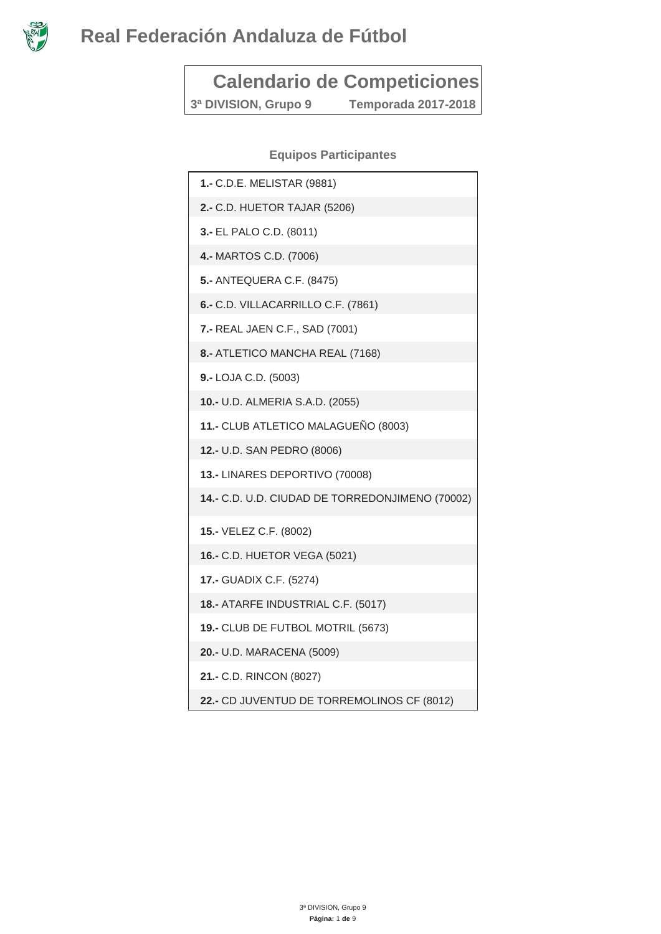

# **Calendario de Competiciones**

**3ª DIVISION, Grupo 9 Temporada 2017-2018** 

#### **Equipos Participantes**

| 1.- C.D.E. MELISTAR (9881)                       |
|--------------------------------------------------|
| 2.- C.D. HUETOR TAJAR (5206)                     |
| 3.- EL PALO C.D. (8011)                          |
| 4.- MARTOS C.D. (7006)                           |
| <b>5.- ANTEQUERA C.F. (8475)</b>                 |
| 6.- C.D. VILLACARRILLO C.F. (7861)               |
| 7.- REAL JAEN C.F., SAD (7001)                   |
| 8.- ATLETICO MANCHA REAL (7168)                  |
| 9.- LOJA C.D. (5003)                             |
| 10.- U.D. ALMERIA S.A.D. (2055)                  |
| 11.- CLUB ATLETICO MALAGUEÑO (8003)              |
| 12.- U.D. SAN PEDRO (8006)                       |
| 13.- LINARES DEPORTIVO (70008)                   |
| 14 .- C.D. U.D. CIUDAD DE TORREDONJIMENO (70002) |
| 15.- VELEZ C.F. (8002)                           |
| 16.- C.D. HUETOR VEGA (5021)                     |
| 17.- GUADIX C.F. (5274)                          |
| 18.- ATARFE INDUSTRIAL C.F. (5017)               |
| 19.- CLUB DE FUTBOL MOTRIL (5673)                |
| 20.- U.D. MARACENA (5009)                        |
| 21.- C.D. RINCON (8027)                          |
| 22.- CD JUVENTUD DE TORREMOLINOS CF (8012)       |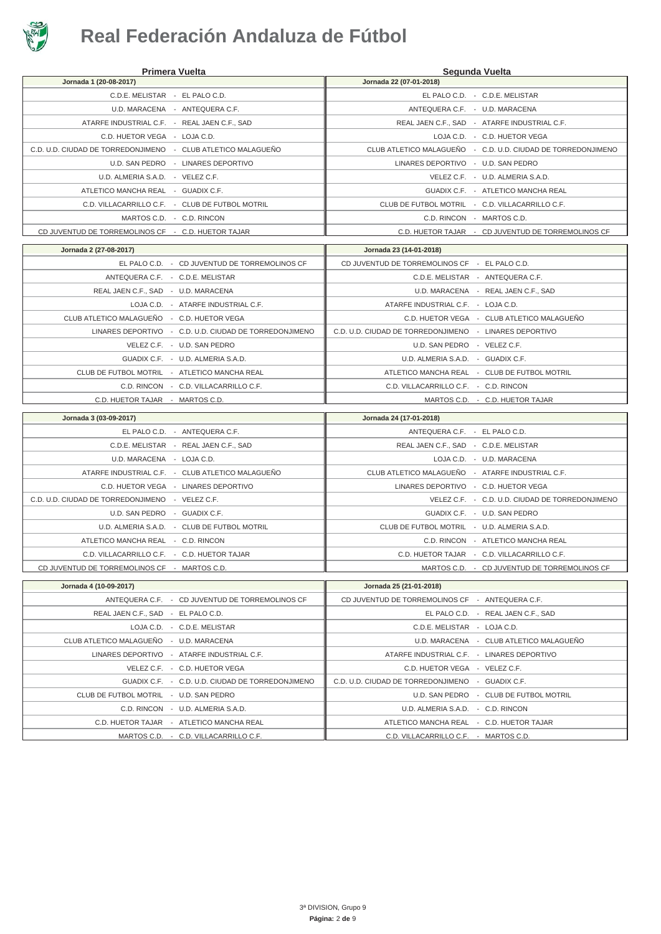

|                                                              | <b>Primera Vuelta</b>                                                             |                                                                                   | Segunda Vuelta                                               |
|--------------------------------------------------------------|-----------------------------------------------------------------------------------|-----------------------------------------------------------------------------------|--------------------------------------------------------------|
| Jornada 1 (20-08-2017)                                       |                                                                                   | Jornada 22 (07-01-2018)                                                           |                                                              |
| C.D.E. MELISTAR - EL PALO C.D.                               |                                                                                   |                                                                                   | EL PALO C.D. - C.D.E. MELISTAR                               |
|                                                              | U.D. MARACENA - ANTEQUERA C.F.                                                    |                                                                                   | ANTEQUERA C.F. - U.D. MARACENA                               |
| ATARFE INDUSTRIAL C.F. - REAL JAEN C.F., SAD                 |                                                                                   |                                                                                   | REAL JAEN C.F., SAD - ATARFE INDUSTRIAL C.F.                 |
| C.D. HUETOR VEGA - LOJA C.D.                                 |                                                                                   |                                                                                   | LOJA C.D. - C.D. HUETOR VEGA                                 |
| C.D. U.D. CIUDAD DE TORREDONJIMENO - CLUB ATLETICO MALAGUEÑO |                                                                                   |                                                                                   | CLUB ATLETICO MALAGUEÑO - C.D. U.D. CIUDAD DE TORREDONJIMENO |
|                                                              | U.D. SAN PEDRO - LINARES DEPORTIVO                                                | LINARES DEPORTIVO - U.D. SAN PEDRO                                                |                                                              |
| U.D. ALMERIA S.A.D. - VELEZ C.F.                             |                                                                                   |                                                                                   | VELEZ C.F. - U.D. ALMERIA S.A.D.                             |
| ATLETICO MANCHA REAL - GUADIX C.F.                           |                                                                                   |                                                                                   | GUADIX C.F. - ATLETICO MANCHA REAL                           |
|                                                              | C.D. VILLACARRILLO C.F. - CLUB DE FUTBOL MOTRIL                                   |                                                                                   | CLUB DE FUTBOL MOTRIL - C.D. VILLACARRILLO C.F.              |
|                                                              | MARTOS C.D. - C.D. RINCON                                                         |                                                                                   | C.D. RINCON - MARTOS C.D.                                    |
| CD JUVENTUD DE TORREMOLINOS CF - C.D. HUETOR TAJAR           |                                                                                   |                                                                                   | C.D. HUETOR TAJAR - CD JUVENTUD DE TORREMOLINOS CF           |
| Jornada 2 (27-08-2017)                                       |                                                                                   | Jornada 23 (14-01-2018)                                                           |                                                              |
|                                                              | EL PALO C.D. - CD JUVENTUD DE TORREMOLINOS CF                                     | CD JUVENTUD DE TORREMOLINOS CF - EL PALO C.D.                                     |                                                              |
| ANTEQUERA C.F. - C.D.E. MELISTAR                             |                                                                                   |                                                                                   | C.D.E. MELISTAR - ANTEQUERA C.F.                             |
| REAL JAEN C.F., SAD - U.D. MARACENA                          |                                                                                   |                                                                                   | U.D. MARACENA - REAL JAEN C.F., SAD                          |
|                                                              | LOJA C.D. - ATARFE INDUSTRIAL C.F.                                                | ATARFE INDUSTRIAL C.F. - LOJA C.D.                                                |                                                              |
| CLUB ATLETICO MALAGUEÑO - C.D. HUETOR VEGA                   |                                                                                   |                                                                                   | C.D. HUETOR VEGA - CLUB ATLETICO MALAGUEÑO                   |
|                                                              | LINARES DEPORTIVO - C.D. U.D. CIUDAD DE TORREDONJIMENO                            | C.D. U.D. CIUDAD DE TORREDONJIMENO - LINARES DEPORTIVO                            |                                                              |
|                                                              | VELEZ C.F. - U.D. SAN PEDRO                                                       | U.D. SAN PEDRO - VELEZ C.F.                                                       |                                                              |
|                                                              | GUADIX C.F. - U.D. ALMERIA S.A.D.                                                 | U.D. ALMERIA S.A.D. - GUADIX C.F.                                                 |                                                              |
| CLUB DE FUTBOL MOTRIL - ATLETICO MANCHA REAL                 |                                                                                   |                                                                                   | ATLETICO MANCHA REAL - CLUB DE FUTBOL MOTRIL                 |
|                                                              | C.D. RINCON - C.D. VILLACARRILLO C.F.                                             | C.D. VILLACARRILLO C.F. - C.D. RINCON                                             |                                                              |
|                                                              |                                                                                   |                                                                                   |                                                              |
| C.D. HUETOR TAJAR - MARTOS C.D.                              |                                                                                   |                                                                                   | MARTOS C.D. - C.D. HUETOR TAJAR                              |
|                                                              |                                                                                   |                                                                                   |                                                              |
| Jornada 3 (03-09-2017)                                       | EL PALO C.D. - ANTEQUERA C.F.                                                     | Jornada 24 (17-01-2018)<br>ANTEQUERA C.F. - EL PALO C.D.                          |                                                              |
|                                                              |                                                                                   |                                                                                   |                                                              |
| U.D. MARACENA - LOJA C.D.                                    | C.D.E. MELISTAR - REAL JAEN C.F., SAD                                             | REAL JAEN C.F., SAD - C.D.E. MELISTAR                                             | LOJA C.D. - U.D. MARACENA                                    |
|                                                              | ATARFE INDUSTRIAL C.F. - CLUB ATLETICO MALAGUEÑO                                  | CLUB ATLETICO MALAGUEÑO - ATARFE INDUSTRIAL C.F.                                  |                                                              |
|                                                              | C.D. HUETOR VEGA - LINARES DEPORTIVO                                              |                                                                                   | LINARES DEPORTIVO - C.D. HUETOR VEGA                         |
| C.D. U.D. CIUDAD DE TORREDONJIMENO - VELEZ C.F.              |                                                                                   |                                                                                   | VELEZ C.F. - C.D. U.D. CIUDAD DE TORREDONJIMENO              |
|                                                              |                                                                                   |                                                                                   |                                                              |
| U.D. SAN PEDRO - GUADIX C.F.                                 | U.D. ALMERIA S.A.D. - CLUB DE FUTBOL MOTRIL                                       | CLUB DE FUTBOL MOTRIL - U.D. ALMERIA S.A.D.                                       | GUADIX C.F. - U.D. SAN PEDRO                                 |
| ATLETICO MANCHA REAL - C.D. RINCON                           |                                                                                   |                                                                                   | C.D. RINCON - ATLETICO MANCHA REAL                           |
| C.D. VILLACARRILLO C.F. - C.D. HUETOR TAJAR                  |                                                                                   |                                                                                   | C.D. HUETOR TAJAR - C.D. VILLACARRILLO C.F.                  |
| CD JUVENTUD DE TORREMOLINOS CF - MARTOS C.D.                 |                                                                                   |                                                                                   | MARTOS C.D. - CD JUVENTUD DE TORREMOLINOS CF                 |
|                                                              |                                                                                   |                                                                                   |                                                              |
| Jornada 4 (10-09-2017)                                       |                                                                                   | Jornada 25 (21-01-2018)                                                           |                                                              |
|                                                              | ANTEQUERA C.F. - CD JUVENTUD DE TORREMOLINOS CF                                   | CD JUVENTUD DE TORREMOLINOS CF - ANTEQUERA C.F.                                   |                                                              |
| REAL JAEN C.F., SAD - EL PALO C.D.                           |                                                                                   |                                                                                   | EL PALO C.D. - REAL JAEN C.F., SAD                           |
|                                                              | LOJA C.D. - C.D.E. MELISTAR                                                       | C.D.E. MELISTAR - LOJA C.D.                                                       |                                                              |
| CLUB ATLETICO MALAGUEÑO - U.D. MARACENA                      |                                                                                   |                                                                                   | U.D. MARACENA - CLUB ATLETICO MALAGUEÑO                      |
|                                                              | LINARES DEPORTIVO - ATARFE INDUSTRIAL C.F.                                        |                                                                                   | ATARFE INDUSTRIAL C.F. - LINARES DEPORTIVO                   |
|                                                              | VELEZ C.F. - C.D. HUETOR VEGA                                                     | C.D. HUETOR VEGA - VELEZ C.F.                                                     |                                                              |
|                                                              | GUADIX C.F. - C.D. U.D. CIUDAD DE TORREDONJIMENO                                  | C.D. U.D. CIUDAD DE TORREDONJIMENO - GUADIX C.F.                                  |                                                              |
| CLUB DE FUTBOL MOTRIL - U.D. SAN PEDRO                       |                                                                                   |                                                                                   | U.D. SAN PEDRO - CLUB DE FUTBOL MOTRIL                       |
|                                                              | C.D. RINCON - U.D. ALMERIA S.A.D.                                                 | U.D. ALMERIA S.A.D. - C.D. RINCON                                                 |                                                              |
|                                                              | C.D. HUETOR TAJAR - ATLETICO MANCHA REAL<br>MARTOS C.D. - C.D. VILLACARRILLO C.F. | ATLETICO MANCHA REAL - C.D. HUETOR TAJAR<br>C.D. VILLACARRILLO C.F. - MARTOS C.D. |                                                              |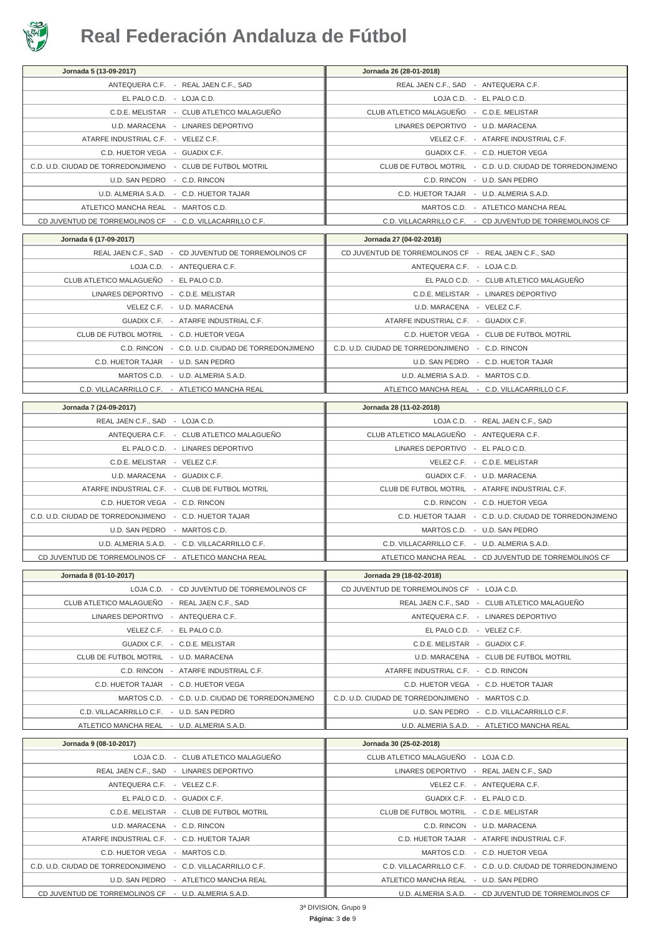

| Jornada 5 (13-09-2017)                                                                        | Jornada 26 (28-01-2018)                                      |
|-----------------------------------------------------------------------------------------------|--------------------------------------------------------------|
| ANTEQUERA C.F. - REAL JAEN C.F., SAD                                                          | REAL JAEN C.F., SAD - ANTEQUERA C.F.                         |
| EL PALO C.D. - LOJA C.D.                                                                      | LOJA C.D. - EL PALO C.D.                                     |
| C.D.E. MELISTAR - CLUB ATLETICO MALAGUEÑO                                                     | CLUB ATLETICO MALAGUEÑO - C.D.E. MELISTAR                    |
| U.D. MARACENA - LINARES DEPORTIVO                                                             | LINARES DEPORTIVO - U.D. MARACENA                            |
| ATARFE INDUSTRIAL C.F. - VELEZ C.F.                                                           | VELEZ C.F. - ATARFE INDUSTRIAL C.F.                          |
| C.D. HUETOR VEGA - GUADIX C.F.                                                                | GUADIX C.F. - C.D. HUETOR VEGA                               |
| C.D. U.D. CIUDAD DE TORREDONJIMENO - CLUB DE FUTBOL MOTRIL                                    | CLUB DE FUTBOL MOTRIL - C.D. U.D. CIUDAD DE TORREDONJIMENO   |
| U.D. SAN PEDRO - C.D. RINCON                                                                  | C.D. RINCON - U.D. SAN PEDRO                                 |
| U.D. ALMERIA S.A.D. - C.D. HUETOR TAJAR                                                       | C.D. HUETOR TAJAR - U.D. ALMERIA S.A.D.                      |
| ATLETICO MANCHA REAL - MARTOS C.D.                                                            | MARTOS C.D. - ATLETICO MANCHA REAL                           |
| CD JUVENTUD DE TORREMOLINOS CF - C.D. VILLACARRILLO C.F.                                      | C.D. VILLACARRILLO C.F. - CD JUVENTUD DE TORREMOLINOS CF     |
| Jornada 6 (17-09-2017)                                                                        | Jornada 27 (04-02-2018)                                      |
| REAL JAEN C.F., SAD - CD JUVENTUD DE TORREMOLINOS CF                                          | CD JUVENTUD DE TORREMOLINOS CF - REAL JAEN C.F., SAD         |
| LOJA C.D. - ANTEQUERA C.F.                                                                    | ANTEQUERA C.F. - LOJA C.D.                                   |
| CLUB ATLETICO MALAGUEÑO - EL PALO C.D.                                                        | EL PALO C.D. - CLUB ATLETICO MALAGUEÑO                       |
| LINARES DEPORTIVO - C.D.E. MELISTAR                                                           | C.D.E. MELISTAR - LINARES DEPORTIVO                          |
| VELEZ C.F. - U.D. MARACENA                                                                    | U.D. MARACENA - VELEZ C.F.                                   |
| GUADIX C.F. - ATARFE INDUSTRIAL C.F.                                                          | ATARFE INDUSTRIAL C.F. - GUADIX C.F.                         |
| CLUB DE FUTBOL MOTRIL - C.D. HUETOR VEGA                                                      | C.D. HUETOR VEGA - CLUB DE FUTBOL MOTRIL                     |
| C.D. RINCON - C.D. U.D. CIUDAD DE TORREDONJIMENO                                              | C.D. U.D. CIUDAD DE TORREDONJIMENO - C.D. RINCON             |
| C.D. HUETOR TAJAR - U.D. SAN PEDRO                                                            | U.D. SAN PEDRO - C.D. HUETOR TAJAR                           |
| MARTOS C.D. - U.D. ALMERIA S.A.D.                                                             | U.D. ALMERIA S.A.D. - MARTOS C.D.                            |
| C.D. VILLACARRILLO C.F. - ATLETICO MANCHA REAL                                                | ATLETICO MANCHA REAL - C.D. VILLACARRILLO C.F.               |
| Jornada 7 (24-09-2017)                                                                        | Jornada 28 (11-02-2018)                                      |
| REAL JAEN C.F., SAD - LOJA C.D.                                                               | LOJA C.D. - REAL JAEN C.F., SAD                              |
| ANTEQUERA C.F. - CLUB ATLETICO MALAGUEÑO                                                      | CLUB ATLETICO MALAGUEÑO - ANTEQUERA C.F.                     |
| EL PALO C.D. - LINARES DEPORTIVO                                                              | LINARES DEPORTIVO - EL PALO C.D.                             |
| C.D.E. MELISTAR - VELEZ C.F.                                                                  | VELEZ C.F. - C.D.E. MELISTAR                                 |
| U.D. MARACENA - GUADIX C.F.                                                                   | GUADIX C.F. - U.D. MARACENA                                  |
| ATARFE INDUSTRIAL C.F. - CLUB DE FUTBOL MOTRIL                                                | CLUB DE FUTBOL MOTRIL - ATARFE INDUSTRIAL C.F.               |
| C.D. HUETOR VEGA - C.D. RINCON                                                                | C.D. RINCON - C.D. HUETOR VEGA                               |
| C.D. U.D. CIUDAD DE TORREDONJIMENO - C.D. HUETOR TAJAR                                        | C.D. HUETOR TAJAR - C.D. U.D. CIUDAD DE TORREDONJIMENO       |
| U.D. SAN PEDRO - MARTOS C.D.                                                                  | MARTOS C.D. - U.D. SAN PEDRO                                 |
| U.D. ALMERIA S.A.D. - C.D. VILLACARRILLO C.F.                                                 | C.D. VILLACARRILLO C.F. - U.D. ALMERIA S.A.D.                |
| CD JUVENTUD DE TORREMOLINOS CF - ATLETICO MANCHA REAL                                         | ATLETICO MANCHA REAL - CD JUVENTUD DE TORREMOLINOS CF        |
| Jornada 8 (01-10-2017)                                                                        | Jornada 29 (18-02-2018)                                      |
| LOJA C.D. - CD JUVENTUD DE TORREMOLINOS CF                                                    | CD JUVENTUD DE TORREMOLINOS CF - LOJA C.D.                   |
| CLUB ATLETICO MALAGUEÑO - REAL JAEN C.F., SAD                                                 | REAL JAEN C.F., SAD - CLUB ATLETICO MALAGUEÑO                |
| LINARES DEPORTIVO - ANTEQUERA C.F.                                                            | ANTEQUERA C.F. - LINARES DEPORTIVO                           |
| VELEZ C.F. - EL PALO C.D.                                                                     | EL PALO C.D. - VELEZ C.F.                                    |
| GUADIX C.F. - C.D.E. MELISTAR                                                                 | C.D.E. MELISTAR - GUADIX C.F.                                |
| CLUB DE FUTBOL MOTRIL - U.D. MARACENA                                                         | U.D. MARACENA - CLUB DE FUTBOL MOTRIL                        |
| C.D. RINCON - ATARFE INDUSTRIAL C.F.                                                          | ATARFE INDUSTRIAL C.F. - C.D. RINCON                         |
| C.D. HUETOR TAJAR - C.D. HUETOR VEGA                                                          | C.D. HUETOR VEGA - C.D. HUETOR TAJAR                         |
| MARTOS C.D. - C.D. U.D. CIUDAD DE TORREDONJIMENO                                              | C.D. U.D. CIUDAD DE TORREDONJIMENO - MARTOS C.D.             |
| C.D. VILLACARRILLO C.F. - U.D. SAN PEDRO                                                      | U.D. SAN PEDRO - C.D. VILLACARRILLO C.F.                     |
| ATLETICO MANCHA REAL - U.D. ALMERIA S.A.D.                                                    | U.D. ALMERIA S.A.D. - ATLETICO MANCHA REAL                   |
| Jornada 9 (08-10-2017)                                                                        | Jornada 30 (25-02-2018)                                      |
| LOJA C.D. - CLUB ATLETICO MALAGUEÑO                                                           | CLUB ATLETICO MALAGUEÑO - LOJA C.D.                          |
| REAL JAEN C.F., SAD - LINARES DEPORTIVO                                                       | LINARES DEPORTIVO - REAL JAEN C.F., SAD                      |
| ANTEQUERA C.F. - VELEZ C.F.                                                                   | VELEZ C.F. - ANTEQUERA C.F.                                  |
| EL PALO C.D. - GUADIX C.F.                                                                    | GUADIX C.F. - EL PALO C.D.                                   |
| C.D.E. MELISTAR - CLUB DE FUTBOL MOTRIL                                                       | CLUB DE FUTBOL MOTRIL - C.D.E. MELISTAR                      |
| U.D. MARACENA - C.D. RINCON                                                                   | C.D. RINCON - U.D. MARACENA                                  |
| ATARFE INDUSTRIAL C.F. - C.D. HUETOR TAJAR                                                    | C.D. HUETOR TAJAR - ATARFE INDUSTRIAL C.F.                   |
| C.D. HUETOR VEGA - MARTOS C.D.                                                                | MARTOS C.D. - C.D. HUETOR VEGA                               |
| C.D. U.D. CIUDAD DE TORREDONJIMENO - C.D. VILLACARRILLO C.F.                                  | C.D. VILLACARRILLO C.F. - C.D. U.D. CIUDAD DE TORREDONJIMENO |
| U.D. SAN PEDRO - ATLETICO MANCHA REAL<br>CD JUVENTUD DE TORREMOLINOS CF - U.D. ALMERIA S.A.D. | ATLETICO MANCHA REAL - U.D. SAN PEDRO                        |
|                                                                                               | U.D. ALMERIA S.A.D. - CD JUVENTUD DE TORREMOLINOS CF         |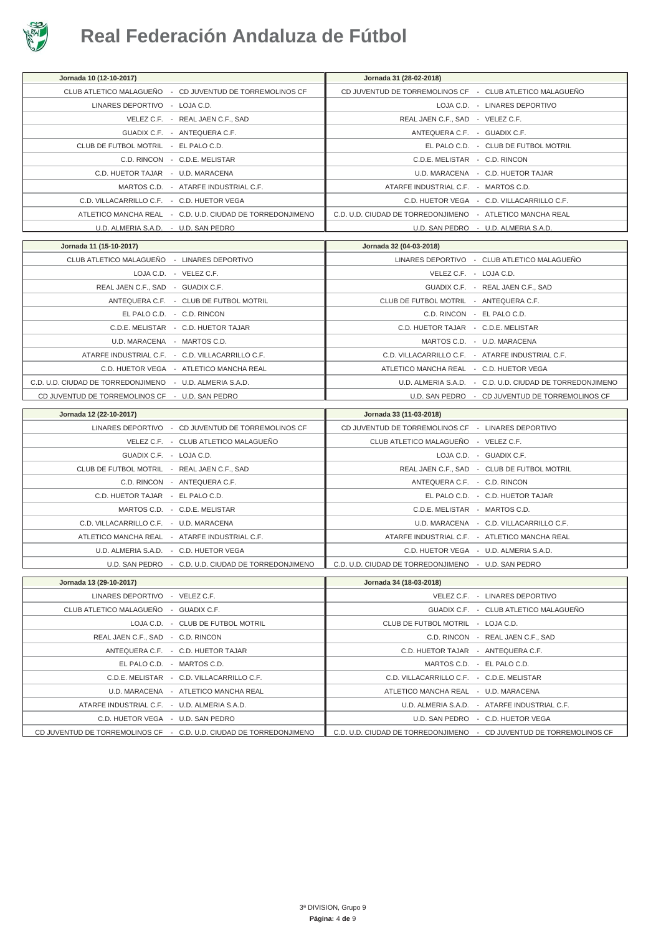

| Jornada 10 (12-10-2017)                                                | Jornada 31 (28-02-2018)                                   |
|------------------------------------------------------------------------|-----------------------------------------------------------|
| CLUB ATLETICO MALAGUEÑO - CD JUVENTUD DE TORREMOLINOS CF               | CD JUVENTUD DE TORREMOLINOS CF - CLUB ATLETICO MALAGUEÑO  |
| LINARES DEPORTIVO - LOJA C.D.                                          | LOJA C.D. - LINARES DEPORTIVO                             |
| VELEZ C.F. - REAL JAEN C.F., SAD                                       | REAL JAEN C.F., SAD - VELEZ C.F.                          |
| GUADIX C.F. - ANTEQUERA C.F.                                           | ANTEQUERA C.F. - GUADIX C.F.                              |
| CLUB DE FUTBOL MOTRIL - EL PALO C.D.                                   | EL PALO C.D. - CLUB DE FUTBOL MOTRIL                      |
| C.D. RINCON - C.D.E. MELISTAR                                          | C.D.E. MELISTAR - C.D. RINCON                             |
| C.D. HUETOR TAJAR - U.D. MARACENA                                      | U.D. MARACENA - C.D. HUETOR TAJAR                         |
| MARTOS C.D. - ATARFE INDUSTRIAL C.F.                                   | ATARFE INDUSTRIAL C.F. - MARTOS C.D.                      |
| C.D. VILLACARRILLO C.F. - C.D. HUETOR VEGA                             | C.D. HUETOR VEGA - C.D. VILLACARRILLO C.F.                |
| ATLETICO MANCHA REAL - C.D. U.D. CIUDAD DE TORREDONJIMENO              | C.D. U.D. CIUDAD DE TORREDONJIMENO - ATLETICO MANCHA REAL |
| U.D. ALMERIA S.A.D. - U.D. SAN PEDRO                                   | U.D. SAN PEDRO - U.D. ALMERIA S.A.D.                      |
|                                                                        | Jornada 32 (04-03-2018)                                   |
| Jornada 11 (15-10-2017)<br>CLUB ATLETICO MALAGUEÑO - LINARES DEPORTIVO |                                                           |
|                                                                        | LINARES DEPORTIVO - CLUB ATLETICO MALAGUEÑO               |
| LOJA C.D. - VELEZ C.F.                                                 | VELEZ C.F. - LOJA C.D.                                    |
| REAL JAEN C.F., SAD - GUADIX C.F.                                      | GUADIX C.F. - REAL JAEN C.F., SAD                         |
| ANTEQUERA C.F. - CLUB DE FUTBOL MOTRIL                                 | CLUB DE FUTBOL MOTRIL - ANTEQUERA C.F.                    |
| EL PALO C.D. - C.D. RINCON                                             | C.D. RINCON - EL PALO C.D.                                |
| C.D.E. MELISTAR - C.D. HUETOR TAJAR                                    | C.D. HUETOR TAJAR - C.D.E. MELISTAR                       |
| U.D. MARACENA - MARTOS C.D.                                            | MARTOS C.D. - U.D. MARACENA                               |
| ATARFE INDUSTRIAL C.F. - C.D. VILLACARRILLO C.F.                       | C.D. VILLACARRILLO C.F. - ATARFE INDUSTRIAL C.F.          |
| C.D. HUETOR VEGA - ATLETICO MANCHA REAL                                | ATLETICO MANCHA REAL - C.D. HUETOR VEGA                   |
| C.D. U.D. CIUDAD DE TORREDONJIMENO - U.D. ALMERIA S.A.D.               | U.D. ALMERIA S.A.D. - C.D. U.D. CIUDAD DE TORREDONJIMENO  |
| CD JUVENTUD DE TORREMOLINOS CF - U.D. SAN PEDRO                        | U.D. SAN PEDRO - CD JUVENTUD DE TORREMOLINOS CF           |
|                                                                        |                                                           |
| Jornada 12 (22-10-2017)                                                | Jornada 33 (11-03-2018)                                   |
| LINARES DEPORTIVO - CD JUVENTUD DE TORREMOLINOS CF                     | CD JUVENTUD DE TORREMOLINOS CF - LINARES DEPORTIVO        |
|                                                                        | CLUB ATLETICO MALAGUEÑO - VELEZ C.F.                      |
| VELEZ C.F. - CLUB ATLETICO MALAGUEÑO                                   |                                                           |
| GUADIX C.F. - LOJA C.D.                                                | LOJA C.D. - GUADIX C.F.                                   |
| CLUB DE FUTBOL MOTRIL - REAL JAEN C.F., SAD                            | REAL JAEN C.F., SAD - CLUB DE FUTBOL MOTRIL               |
| C.D. RINCON - ANTEQUERA C.F.                                           | ANTEQUERA C.F. - C.D. RINCON                              |
| C.D. HUETOR TAJAR - EL PALO C.D.                                       | EL PALO C.D. - C.D. HUETOR TAJAR                          |
| MARTOS C.D. - C.D.E. MELISTAR                                          | C.D.E. MELISTAR - MARTOS C.D.                             |
| C.D. VILLACARRILLO C.F. - U.D. MARACENA                                | U.D. MARACENA - C.D. VILLACARRILLO C.F.                   |
| ATLETICO MANCHA REAL - ATARFE INDUSTRIAL C.F.                          | ATARFE INDUSTRIAL C.F. - ATLETICO MANCHA REAL             |
| U.D. ALMERIA S.A.D. - C.D. HUETOR VEGA                                 | C.D. HUETOR VEGA - U.D. ALMERIA S.A.D.                    |
| U.D. SAN PEDRO - C.D. U.D. CIUDAD DE TORREDONJIMENO                    | C.D. U.D. CIUDAD DE TORREDONJIMENO - U.D. SAN PEDRO       |
| Jornada 13 (29-10-2017)                                                | Jornada 34 (18-03-2018)                                   |
| LINARES DEPORTIVO - VELEZ C.F.                                         | VELEZ C.F. - LINARES DEPORTIVO                            |
| CLUB ATLETICO MALAGUEÑO - GUADIX C.F.                                  | GUADIX C.F. - CLUB ATLETICO MALAGUEÑO                     |
| LOJA C.D. - CLUB DE FUTBOL MOTRIL                                      | CLUB DE FUTBOL MOTRIL - LOJA C.D.                         |
| REAL JAEN C.F., SAD - C.D. RINCON                                      | C.D. RINCON - REAL JAEN C.F., SAD                         |
| ANTEQUERA C.F. - C.D. HUETOR TAJAR                                     | C.D. HUETOR TAJAR - ANTEQUERA C.F.                        |
| EL PALO C.D. - MARTOS C.D.                                             | MARTOS C.D. - EL PALO C.D.                                |
| C.D.E. MELISTAR - C.D. VILLACARRILLO C.F.                              | C.D. VILLACARRILLO C.F. - C.D.E. MELISTAR                 |
| U.D. MARACENA - ATLETICO MANCHA REAL                                   | ATLETICO MANCHA REAL - U.D. MARACENA                      |
| ATARFE INDUSTRIAL C.F. - U.D. ALMERIA S.A.D.                           | U.D. ALMERIA S.A.D. - ATARFE INDUSTRIAL C.F.              |
| C.D. HUETOR VEGA - U.D. SAN PEDRO                                      | U.D. SAN PEDRO - C.D. HUETOR VEGA                         |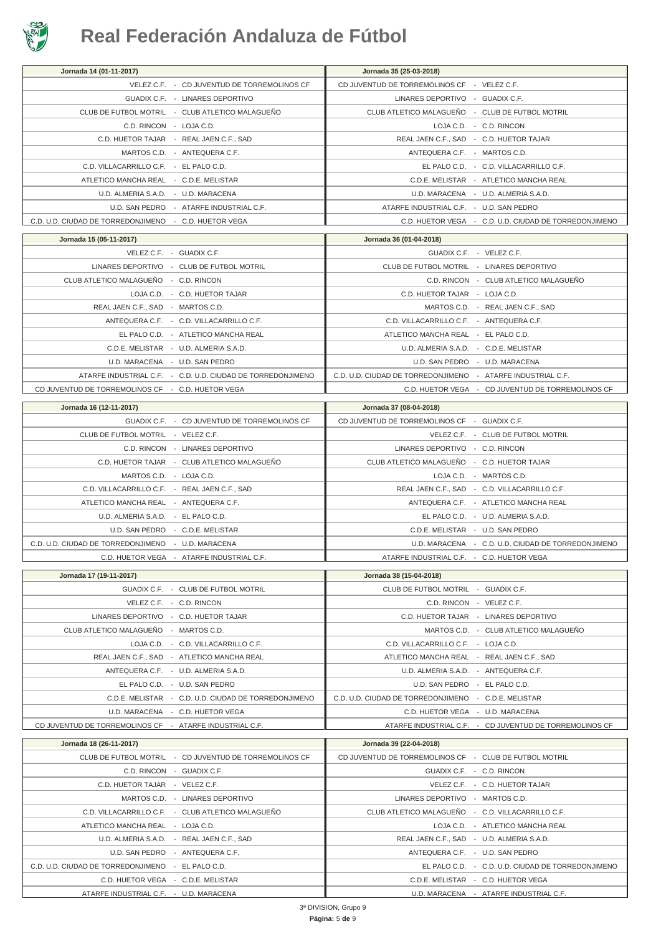

| Jornada 14 (01-11-2017)                                     | Jornada 35 (25-03-2018)                                     |                                                         |
|-------------------------------------------------------------|-------------------------------------------------------------|---------------------------------------------------------|
| VELEZ C.F. - CD JUVENTUD DE TORREMOLINOS CF                 | CD JUVENTUD DE TORREMOLINOS CF - VELEZ C.F.                 |                                                         |
| GUADIX C.F. - LINARES DEPORTIVO                             | LINARES DEPORTIVO - GUADIX C.F.                             |                                                         |
| CLUB DE FUTBOL MOTRIL - CLUB ATLETICO MALAGUEÑO             | CLUB ATLETICO MALAGUEÑO - CLUB DE FUTBOL MOTRIL             |                                                         |
| C.D. RINCON - LOJA C.D.                                     |                                                             | LOJA C.D. - C.D. RINCON                                 |
| C.D. HUETOR TAJAR - REAL JAEN C.F., SAD                     |                                                             | REAL JAEN C.F., SAD - C.D. HUETOR TAJAR                 |
| MARTOS C.D. - ANTEQUERA C.F.                                | ANTEQUERA C.F. - MARTOS C.D.                                |                                                         |
| C.D. VILLACARRILLO C.F. - EL PALO C.D.                      |                                                             | EL PALO C.D. - C.D. VILLACARRILLO C.F.                  |
| ATLETICO MANCHA REAL - C.D.E. MELISTAR                      |                                                             | C.D.E. MELISTAR - ATLETICO MANCHA REAL                  |
| U.D. ALMERIA S.A.D. - U.D. MARACENA                         |                                                             | U.D. MARACENA - U.D. ALMERIA S.A.D.                     |
| U.D. SAN PEDRO - ATARFE INDUSTRIAL C.F.                     | ATARFE INDUSTRIAL C.F. - U.D. SAN PEDRO                     |                                                         |
| C.D. U.D. CIUDAD DE TORREDONJIMENO - C.D. HUETOR VEGA       |                                                             | C.D. HUETOR VEGA - C.D. U.D. CIUDAD DE TORREDONJIMENO   |
|                                                             |                                                             |                                                         |
| Jornada 15 (05-11-2017)                                     | Jornada 36 (01-04-2018)                                     |                                                         |
| VELEZ C.F. - GUADIX C.F.                                    |                                                             | GUADIX C.F. - VELEZ C.F.                                |
| LINARES DEPORTIVO - CLUB DE FUTBOL MOTRIL                   | CLUB DE FUTBOL MOTRIL - LINARES DEPORTIVO                   |                                                         |
| CLUB ATLETICO MALAGUEÑO - C.D. RINCON                       |                                                             | C.D. RINCON - CLUB ATLETICO MALAGUEÑO                   |
| LOJA C.D. - C.D. HUETOR TAJAR                               | C.D. HUETOR TAJAR - LOJA C.D.                               |                                                         |
| REAL JAEN C.F., SAD - MARTOS C.D.                           |                                                             | MARTOS C.D. - REAL JAEN C.F., SAD                       |
| ANTEQUERA C.F. - C.D. VILLACARRILLO C.F.                    | C.D. VILLACARRILLO C.F. - ANTEQUERA C.F.                    |                                                         |
| EL PALO C.D. - ATLETICO MANCHA REAL                         | ATLETICO MANCHA REAL - EL PALO C.D.                         |                                                         |
| C.D.E. MELISTAR - U.D. ALMERIA S.A.D.                       | U.D. ALMERIA S.A.D. - C.D.E. MELISTAR                       |                                                         |
| U.D. MARACENA - U.D. SAN PEDRO                              |                                                             | U.D. SAN PEDRO - U.D. MARACENA                          |
| ATARFE INDUSTRIAL C.F. - C.D. U.D. CIUDAD DE TORREDONJIMENO | C.D. U.D. CIUDAD DE TORREDONJIMENO - ATARFE INDUSTRIAL C.F. |                                                         |
| CD JUVENTUD DE TORREMOLINOS CF - C.D. HUETOR VEGA           |                                                             | C.D. HUETOR VEGA - CD JUVENTUD DE TORREMOLINOS CF       |
|                                                             |                                                             |                                                         |
| Jornada 16 (12-11-2017)                                     | Jornada 37 (08-04-2018)                                     |                                                         |
| GUADIX C.F. - CD JUVENTUD DE TORREMOLINOS CF                | CD JUVENTUD DE TORREMOLINOS CF - GUADIX C.F.                |                                                         |
| CLUB DE FUTBOL MOTRIL - VELEZ C.F.                          |                                                             | VELEZ C.F. - CLUB DE FUTBOL MOTRIL                      |
| C.D. RINCON - LINARES DEPORTIVO                             | LINARES DEPORTIVO - C.D. RINCON                             |                                                         |
| C.D. HUETOR TAJAR - CLUB ATLETICO MALAGUEÑO                 | CLUB ATLETICO MALAGUEÑO - C.D. HUETOR TAJAR                 |                                                         |
| MARTOS C.D. - LOJA C.D.                                     |                                                             | LOJA C.D. - MARTOS C.D.                                 |
| C.D. VILLACARRILLO C.F. - REAL JAEN C.F., SAD               |                                                             | REAL JAEN C.F., SAD - C.D. VILLACARRILLO C.F.           |
| ATLETICO MANCHA REAL - ANTEQUERA C.F.                       |                                                             | ANTEQUERA C.F. - ATLETICO MANCHA REAL                   |
| U.D. ALMERIA S.A.D. - EL PALO C.D.                          |                                                             | EL PALO C.D. - U.D. ALMERIA S.A.D.                      |
| U.D. SAN PEDRO - C.D.E. MELISTAR                            |                                                             | C.D.E. MELISTAR - U.D. SAN PEDRO                        |
| C.D. U.D. CIUDAD DE TORREDONJIMENO - U.D. MARACENA          |                                                             | U.D. MARACENA - C.D. U.D. CIUDAD DE TORREDONJIMENO      |
| C.D. HUETOR VEGA - ATARFE INDUSTRIAL C.F.                   | ATARFE INDUSTRIAL C.F. - C.D. HUETOR VEGA                   |                                                         |
| Jornada 17 (19-11-2017)                                     | Jornada 38 (15-04-2018)                                     |                                                         |
| GUADIX C.F. - CLUB DE FUTBOL MOTRIL                         | CLUB DE FUTBOL MOTRIL - GUADIX C.F.                         |                                                         |
| VELEZ C.F. - C.D. RINCON                                    |                                                             | C.D. RINCON - VELEZ C.F.                                |
| LINARES DEPORTIVO - C.D. HUETOR TAJAR                       |                                                             | C.D. HUETOR TAJAR - LINARES DEPORTIVO                   |
|                                                             |                                                             | MARTOS C.D. - CLUB ATLETICO MALAGUEÑO                   |
| CLUB ATLETICO MALAGUEÑO - MARTOS C.D.                       |                                                             |                                                         |
| LOJA C.D. - C.D. VILLACARRILLO C.F.                         | C.D. VILLACARRILLO C.F. - LOJA C.D.                         |                                                         |
| REAL JAEN C.F., SAD - ATLETICO MANCHA REAL                  | ATLETICO MANCHA REAL - REAL JAEN C.F., SAD                  |                                                         |
| ANTEQUERA C.F. - U.D. ALMERIA S.A.D.                        | U.D. ALMERIA S.A.D. - ANTEQUERA C.F.                        |                                                         |
| EL PALO C.D. - U.D. SAN PEDRO                               | U.D. SAN PEDRO - EL PALO C.D.                               |                                                         |
| C.D.E. MELISTAR - C.D. U.D. CIUDAD DE TORREDONJIMENO        | C.D. U.D. CIUDAD DE TORREDONJIMENO - C.D.E. MELISTAR        |                                                         |
| U.D. MARACENA - C.D. HUETOR VEGA                            | C.D. HUETOR VEGA - U.D. MARACENA                            |                                                         |
| CD JUVENTUD DE TORREMOLINOS CF - ATARFE INDUSTRIAL C.F.     |                                                             | ATARFE INDUSTRIAL C.F. - CD JUVENTUD DE TORREMOLINOS CF |
| Jornada 18 (26-11-2017)                                     | Jornada 39 (22-04-2018)                                     |                                                         |
| CLUB DE FUTBOL MOTRIL - CD JUVENTUD DE TORREMOLINOS CF      | CD JUVENTUD DE TORREMOLINOS CF - CLUB DE FUTBOL MOTRIL      |                                                         |
| C.D. RINCON - GUADIX C.F.                                   |                                                             | GUADIX C.F. - C.D. RINCON                               |
| C.D. HUETOR TAJAR - VELEZ C.F.                              |                                                             | VELEZ C.F. - C.D. HUETOR TAJAR                          |
| MARTOS C.D. - LINARES DEPORTIVO                             | LINARES DEPORTIVO - MARTOS C.D.                             |                                                         |
| C.D. VILLACARRILLO C.F. - CLUB ATLETICO MALAGUEÑO           | CLUB ATLETICO MALAGUEÑO - C.D. VILLACARRILLO C.F.           |                                                         |
| ATLETICO MANCHA REAL - LOJA C.D.                            |                                                             | LOJA C.D. - ATLETICO MANCHA REAL                        |
| U.D. ALMERIA S.A.D. - REAL JAEN C.F., SAD                   | REAL JAEN C.F., SAD - U.D. ALMERIA S.A.D.                   |                                                         |
| U.D. SAN PEDRO - ANTEQUERA C.F.                             |                                                             | ANTEQUERA C.F. - U.D. SAN PEDRO                         |
| C.D. U.D. CIUDAD DE TORREDONJIMENO - EL PALO C.D.           |                                                             | EL PALO C.D. - C.D. U.D. CIUDAD DE TORREDONJIMENO       |
| C.D. HUETOR VEGA - C.D.E. MELISTAR                          |                                                             | C.D.E. MELISTAR - C.D. HUETOR VEGA                      |
|                                                             |                                                             |                                                         |
| ATARFE INDUSTRIAL C.F. - U.D. MARACENA                      |                                                             | U.D. MARACENA - ATARFE INDUSTRIAL C.F.                  |